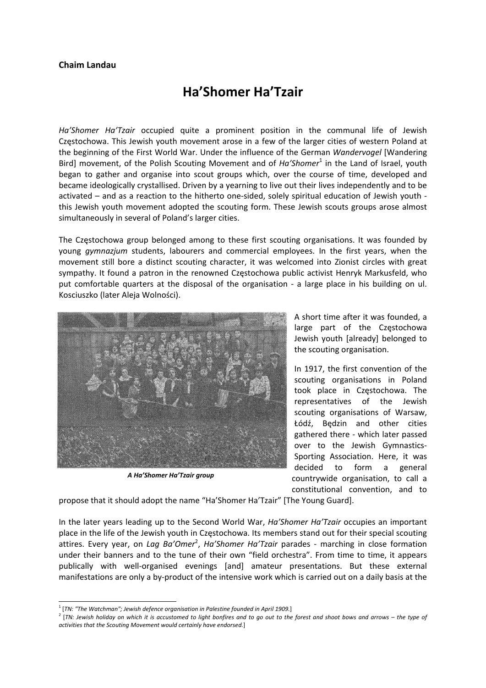## **Chaim Landau**

## **Ha'Shomer Ha'Tzair**

*Ha'Shomer Ha'Tzair* occupied quite a prominent position in the communal life of Jewish Częstochowa. This Jewish youth movement arose in a few of the larger cities of western Poland at the beginning of the First World War. Under the influence of the German *Wandervogel* [Wandering Bird] movement, of the Polish Scouting Movement and of *Ha'Shomer*<sup>1</sup> in the Land of Israel, youth began to gather and organise into scout groups which, over the course of time, developed and became ideologically crystallised. Driven by a yearning to live out their lives independently and to be activated – and as a reaction to the hitherto one‐sided, solely spiritual education of Jewish youth ‐ this Jewish youth movement adopted the scouting form. These Jewish scouts groups arose almost simultaneously in several of Poland's larger cities.

The Częstochowa group belonged among to these first scouting organisations. It was founded by young *gymnazjum* students, labourers and commercial employees. In the first years, when the movement still bore a distinct scouting character, it was welcomed into Zionist circles with great sympathy. It found a patron in the renowned Częstochowa public activist Henryk Markusfeld, who put comfortable quarters at the disposal of the organisation - a large place in his building on ul. Kosciuszko (later Aleja Wolności).



*A Ha'Shomer Ha'Tzair group*

A short time after it was founded, a large part of the Częstochowa Jewish youth [already] belonged to the scouting organisation.

In 1917, the first convention of the scouting organisations in Poland took place in Częstochowa. The representatives of the Jewish scouting organisations of Warsaw, Łódź, Będzin and other cities gathered there ‐ which later passed over to the Jewish Gymnastics‐ Sporting Association. Here, it was decided to form a general countrywide organisation, to call a constitutional convention, and to

propose that it should adopt the name "Ha'Shomer Ha'Tzair" [The Young Guard].

In the later years leading up to the Second World War, *Ha'Shomer Ha'Tzair* occupies an important place in the life of the Jewish youth in Częstochowa. Its members stand out for their special scouting attires. Every year, on *Lag Ba'Omer<sup>2</sup>, Ha'Shomer Ha'Tzair* parades - marching in close formation under their banners and to the tune of their own "field orchestra". From time to time, it appears publically with well‐organised evenings [and] amateur presentations. But these external manifestations are only a by‐product of the intensive work which is carried out on a daily basis at the

 <sup>1</sup> [*TN: "The Watchman"; Jewish defence organisation in Palestine founded in April 1909.*]

<sup>&</sup>lt;sup>2</sup> [TN: Jewish holiday on which it is accustomed to light bonfires and to go out to the forest and shoot bows and arrows – the type of *activities that the Scouting Movement would certainly have endorsed.*]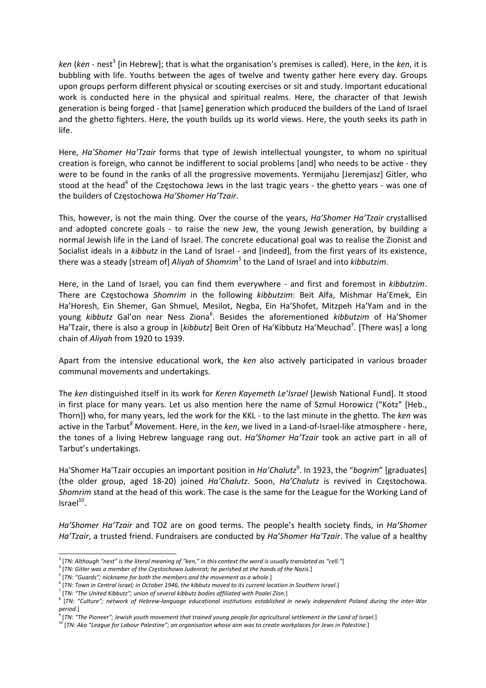*ken* (*ken* ‐ nest3 [in Hebrew]; that is what the organisation's premises is called). Here, in the *ken*, it is bubbling with life. Youths between the ages of twelve and twenty gather here every day. Groups upon groups perform different physical or scouting exercises or sit and study. Important educational work is conducted here in the physical and spiritual realms. Here, the character of that Jewish generation is being forged ‐ that [same] generation which produced the builders of the Land of Israel and the ghetto fighters. Here, the youth builds up its world views. Here, the youth seeks its path in life.

Here, *Ha'Shomer Ha'Tzair* forms that type of Jewish intellectual youngster, to whom no spiritual creation is foreign, who cannot be indifferent to social problems [and] who needs to be active ‐ they were to be found in the ranks of all the progressive movements. Yermijahu [Jeremjasz] Gitler, who stood at the head<sup>4</sup> of the Czestochowa Jews in the last tragic years - the ghetto years - was one of the builders of Częstochowa *Ha'Shomer Ha'Tzair*.

This, however, is not the main thing. Over the course of the years, *Ha'Shomer Ha'Tzair* crystallised and adopted concrete goals - to raise the new Jew, the young Jewish generation, by building a normal Jewish life in the Land of Israel. The concrete educational goal was to realise the Zionist and Socialist ideals in a *kibbutz* in the Land of Israel ‐ and [indeed], from the first years of its existence, there was a steady [stream of] *Aliyah* of *Shomrim<sup>5</sup>* to the Land of Israel and into *kibbutzim*.

Here, in the Land of Israel, you can find them everywhere ‐ and first and foremost in *kibbutzim*. There are Częstochowa *Shomrim* in the following *kibbutzim*: Beit Alfa, Mishmar Ha'Emek, Ein Ha'Horesh, Ein Shemer, Gan Shmuel, Mesilot, Negba, Ein Ha'Shofet, Mitzpeh Ha'Yam and in the young *kibbutz* Gal'on near Ness Ziona<sup>6</sup>. Besides the aforementioned *kibbutzim* of Ha'Shomer Ha'Tzair, there is also a group in [kibbutz] Beit Oren of Ha'Kibbutz Ha'Meuchad<sup>7</sup>. [There was] a long chain of *Aliyah* from 1920 to 1939.

Apart from the intensive educational work, the *ken* also actively participated in various broader communal movements and undertakings.

The *ken* distinguished itself in its work for *Keren Kayemeth Le'Israel* [Jewish National Fund]. It stood in first place for many years. Let us also mention here the name of Szmul Horowicz ("Kotz" [Heb., Thorn]) who, for many years, led the work for the KKL ‐ to the last minute in the ghetto. The *ken* was active in the Tarbut*<sup>8</sup>* Movement. Here, in the *ken*, we lived in a Land‐of‐Israel‐like atmosphere ‐ here, the tones of a living Hebrew language rang out. *Ha'Shomer Ha'Tzair* took an active part in all of Tarbut's undertakings.

Ha'Shomer Ha'Tzair occupies an important position in *Ha'Chalutz*<sup>9</sup>. In 1923, the "bogrim" [graduates] (the older group, aged 18‐20) joined *Ha'Chalutz*. Soon, *Ha'Chalutz* is revived in Częstochowa. *Shomrim* stand at the head of this work. The case is the same for the League for the Working Land of  $Israel<sup>10</sup>$ .

*Ha'Shomer Ha'Tzair* and TOZ are on good terms. The people's health society finds, in *Ha'Shomer Ha'Tzair*, a trusted friend. Fundraisers are conducted by *Ha'Shomer Ha'Tzair*. The value of a healthy

 $3$  [TN: Although "nest" is the literal meaning of "ken," in this context the word is usually translated as "cell."]

 $^4$  [TN: Gitler was a member of the Częstochowa Judenrat; he perished at the hands of the Nazis.]<br><sup>5</sup> [TN: "Guards"; nickname for both the members and the movement as a whole.]

 $6$  [TN: Town in Central Israel; in October 1946, the kibbutz moved to its current location in Southern Israel.]

<sup>7</sup> [*TN: "The United Kibbutz"; union of several kibbutz bodies affiliated with Poalei Zion.*]

<sup>&</sup>lt;sup>8</sup> [TN: "Culture"; network of Hebrew-language educational institutions established in newly independent Poland during the inter-War *period.*]

<sup>[</sup>TN: "The Pioneer"; Jewish youth movement that trained young people for agricultural settlement in the Land of Israel.]

<sup>&</sup>lt;sup>10</sup> [TN: Aka "League for Labour Palestine"; an organisation whose aim was to create workplaces for Jews in Palestine.]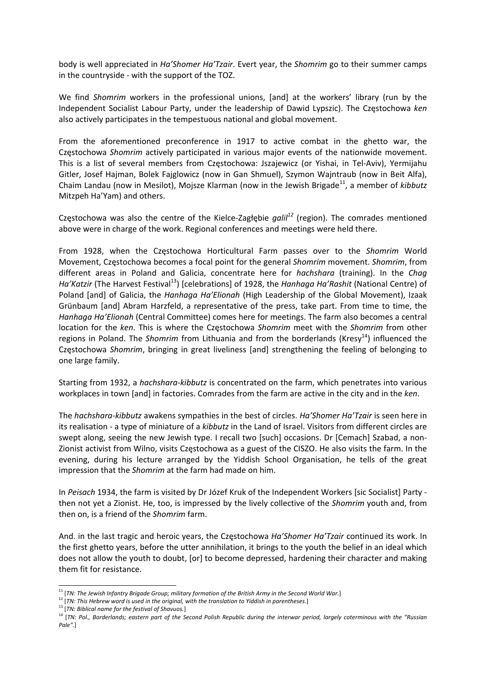body is well appreciated in *Ha'Shomer Ha'Tzair*. Evert year, the *Shomrim* go to their summer camps in the countryside ‐ with the support of the TOZ.

We find *Shomrim* workers in the professional unions, [and] at the workers' library (run by the Independent Socialist Labour Party, under the leadership of Dawid Lypszic). The Częstochowa *ken* also actively participates in the tempestuous national and global movement.

From the aforementioned preconference in 1917 to active combat in the ghetto war, the Częstochowa *Shomrim* actively participated in various major events of the nationwide movement. This is a list of several members from Częstochowa: Jszajewicz (or Yishai, in Tel‐Aviv), Yermijahu Gitler, Josef Hajman, Bolek Fajglowicz (now in Gan Shmuel), Szymon Wajntraub (now in Beit Alfa), Chaim Landau (now in Mesilot), Mojsze Klarman (now in the Jewish Brigade11, a member of *kibbutz* Mitzpeh Ha'Yam) and others.

Częstochowa was also the centre of the Kielce‐Zagłębie *galil<sup>12</sup>* (region). The comrades mentioned above were in charge of the work. Regional conferences and meetings were held there.

From 1928, when the Częstochowa Horticultural Farm passes over to the *Shomrim* World Movement, Częstochowa becomes a focal point for the general *Shomrim* movement. *Shomrim*, from different areas in Poland and Galicia, concentrate here for *hachshara* (training). In the *Chag Ha'Katzir* (The Harvest Festival<sup>13</sup>) [celebrations] of 1928, the *Hanhaga Ha'Rashit* (National Centre) of Poland [and] of Galicia, the *Hanhaga Ha'Elionah* (High Leadership of the Global Movement), Izaak Grünbaum [and] Abram Harzfeld, a representative of the press, take part. From time to time, the *Hanhaga Ha'Elionah* (Central Committee) comes here for meetings. The farm also becomes a central location for the *ken*. This is where the Częstochowa *Shomrim* meet with the *Shomrim* from other regions in Poland. The *Shomrim* from Lithuania and from the borderlands (Kresy<sup>14</sup>) influenced the Częstochowa *Shomrim*, bringing in great liveliness [and] strengthening the feeling of belonging to one large family.

Starting from 1932, a *hachshara‐kibbutz* is concentrated on the farm, which penetrates into various workplaces in town [and] in factories. Comrades from the farm are active in the city and in the *ken*.

The *hachshara‐kibbutz* awakens sympathies in the best of circles. *Ha'Shomer Ha'Tzair* is seen here in its realisation ‐ a type of miniature of a *kibbutz* in the Land of Israel. Visitors from different circles are swept along, seeing the new Jewish type. I recall two [such] occasions. Dr [Cemach] Szabad, a non‐ Zionist activist from Wilno, visits Częstochowa as a guest of the CISZO. He also visits the farm. In the evening, during his lecture arranged by the Yiddish School Organisation, he tells of the great impression that the *Shomrim* at the farm had made on him.

In *Peisach* 1934, the farm is visited by Dr Józef Kruk of the Independent Workers [sic Socialist] Party ‐ then not yet a Zionist. He, too, is impressed by the lively collective of the *Shomrim* youth and, from then on, is a friend of the *Shomrim* farm.

And. in the last tragic and heroic years, the Częstochowa *Ha'Shomer Ha'Tzair* continued its work. In the first ghetto years, before the utter annihilation, it brings to the youth the belief in an ideal which does not allow the youth to doubt, [or] to become depressed, hardening their character and making them fit for resistance.

 <sup>11</sup> [*TN: The Jewish Infantry Brigade Group; military formation of the British Army in the Second World War.*]

 $^{12}$  [TN: This Hebrew word is used in the original, with the translation to Yiddish in parentheses.]<br> $^{13}$  [TN: Biblical name for the festival of Shavuos.]

<sup>&</sup>lt;sup>13</sup> [TN: Biblical name for the festival of Shavuos.]<br><sup>14</sup> [TN: Biblical name for the festival of Shavuos.]<br><sup>14</sup> [TN: Pol., Borderlands; eastern part of the Second Polish Republic during the interwar period, largely coterm *Pale"*.]